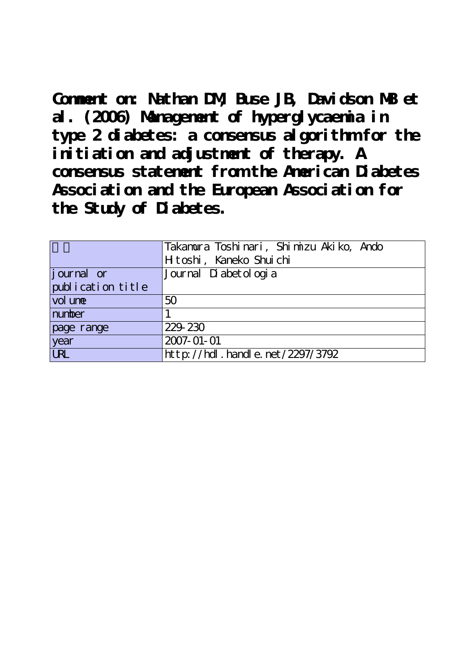**Comment on: Nathan DM, Buse JB, Davidson MB et al. (2006) Management of hyperglycaemia in type 2 diabetes: a consensus algorithm for the initiation and adjustment of therapy. A consensus statement from the American Diabetes Association and the European Association for the Study of Diabetes.**

|                   | Takamura Toshinari, Shimizu Akiko, Ando |
|-------------------|-----------------------------------------|
|                   | Htoshi, Kaneko Shuichi                  |
| journal or        | Journal Di abet ol ogi a                |
| publication title |                                         |
| vol une           | 50                                      |
| number            |                                         |
| page range        | 229 230                                 |
| year              | 2007-01-01                              |
| <b>URL</b>        | http://hdl.handle.net/2297/3792         |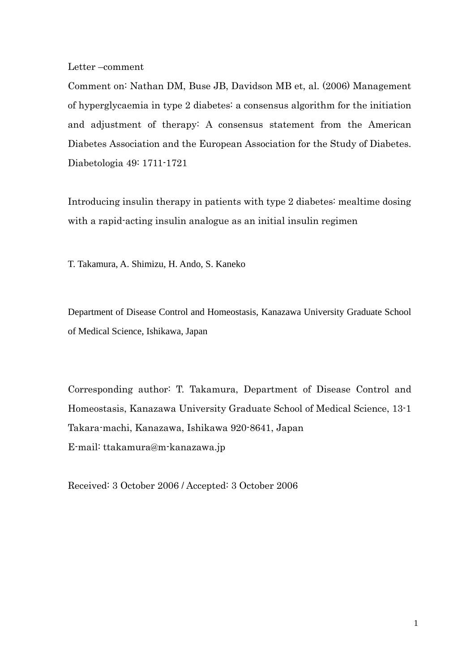Letter –comment

Comment on: Nathan DM, Buse JB, Davidson MB et, al. (2006) Management of hyperglycaemia in type 2 diabetes: a consensus algorithm for the initiation and adjustment of therapy: A consensus statement from the American Diabetes Association and the European Association for the Study of Diabetes. Diabetologia 49: 1711-1721

Introducing insulin therapy in patients with type 2 diabetes: mealtime dosing with a rapid-acting insulin analogue as an initial insulin regimen

T. Takamura, A. Shimizu, H. Ando, S. Kaneko

Department of Disease Control and Homeostasis, Kanazawa University Graduate School of Medical Science, Ishikawa, Japan

Corresponding author: T. Takamura, Department of Disease Control and Homeostasis, Kanazawa University Graduate School of Medical Science, 13-1 Takara-machi, Kanazawa, Ishikawa 920-8641, Japan E-mail: [ttakamura@m-kanazawa.jp](mailto:tt@medf.m.kanazawa-u.ac.jp)

Received: 3 October 2006 / Accepted: 3 October 2006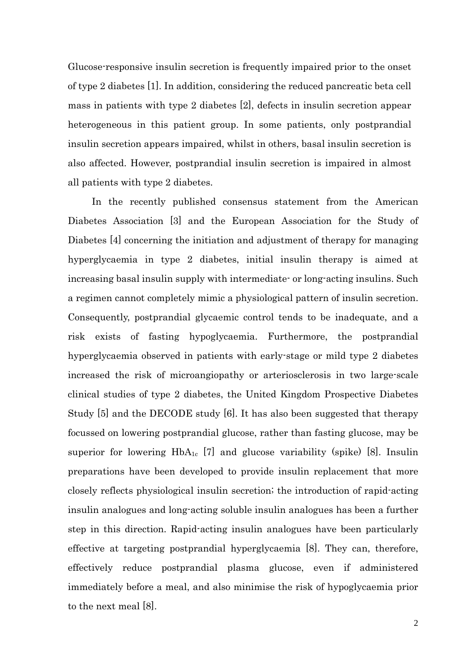Glucose-responsive insulin secretion is frequently impaired prior to the onset of type 2 diabetes [1]. In addition, considering the reduced pancreatic beta cell mass in patients with type 2 diabetes [2], defects in insulin secretion appear heterogeneous in this patient group. In some patients, only postprandial insulin secretion appears impaired, whilst in others, basal insulin secretion is also affected. However, postprandial insulin secretion is impaired in almost all patients with type 2 diabetes.

 In the recently published consensus statement from the American Diabetes Association [3] and the European Association for the Study of Diabetes [4] concerning the initiation and adjustment of therapy for managing hyperglycaemia in type 2 diabetes, initial insulin therapy is aimed at increasing basal insulin supply with intermediate- or long-acting insulins. Such a regimen cannot completely mimic a physiological pattern of insulin secretion. Consequently, postprandial glycaemic control tends to be inadequate, and a risk exists of fasting hypoglycaemia. Furthermore, the postprandial hyperglycaemia observed in patients with early-stage or mild type 2 diabetes increased the risk of microangiopathy or arteriosclerosis in two large-scale clinical studies of type 2 diabetes, the United Kingdom Prospective Diabetes Study [5] and the DECODE study [6]. It has also been suggested that therapy focussed on lowering postprandial glucose, rather than fasting glucose, may be superior for lowering  $HbA_{1c}$  [7] and glucose variability (spike) [8]. Insulin preparations have been developed to provide insulin replacement that more closely reflects physiological insulin secretion; the introduction of rapid-acting insulin analogues and long-acting soluble insulin analogues has been a further step in this direction. Rapid-acting insulin analogues have been particularly effective at targeting postprandial hyperglycaemia [8]. They can, therefore, effectively reduce postprandial plasma glucose, even if administered immediately before a meal, and also minimise the risk of hypoglycaemia prior to the next meal [8].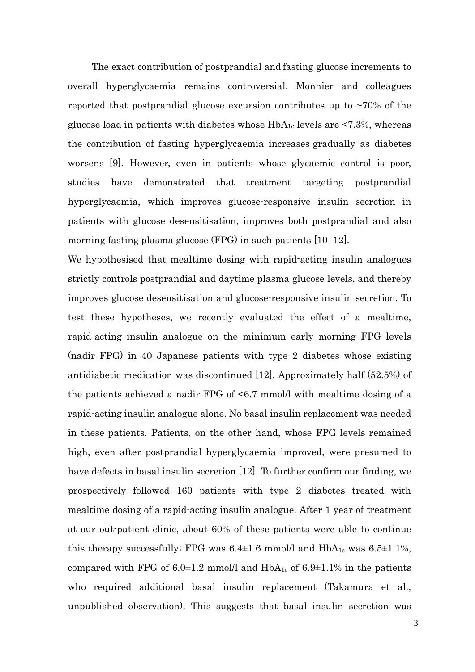The exact contribution of postprandial and fasting glucose increments to overall hyperglycaemia remains controversial. Monnier and colleagues reported that postprandial glucose excursion contributes up to  $\sim70\%$  of the glucose load in patients with diabetes whose  $HbA_{1c}$  levels are <7.3%, whereas the contribution of fasting hyperglycaemia increases gradually as diabetes worsens [9]. However, even in patients whose glycaemic control is poor, studies have demonstrated that treatment targeting postprandial hyperglycaemia, which improves glucose-responsive insulin secretion in patients with glucose desensitisation, improves both postprandial and also morning fasting plasma glucose (FPG) in such patients [10–12].

We hypothesised that mealtime dosing with rapid-acting insulin analogues strictly controls postprandial and daytime plasma glucose levels, and thereby improves glucose desensitisation and glucose-responsive insulin secretion. To test these hypotheses, we recently evaluated the effect of a mealtime, rapid-acting insulin analogue on the minimum early morning FPG levels (nadir FPG) in 40 Japanese patients with type 2 diabetes whose existing antidiabetic medication was discontinued [12]. Approximately half (52.5%) of the patients achieved a nadir FPG of <6.7 mmol/l with mealtime dosing of a rapid-acting insulin analogue alone. No basal insulin replacement was needed in these patients. Patients, on the other hand, whose FPG levels remained high, even after postprandial hyperglycaemia improved, were presumed to have defects in basal insulin secretion [12]. To further confirm our finding, we prospectively followed 160 patients with type 2 diabetes treated with mealtime dosing of a rapid-acting insulin analogue. After 1 year of treatment at our out-patient clinic, about 60% of these patients were able to continue this therapy successfully; FPG was  $6.4\pm1.6$  mmol/l and HbA<sub>1c</sub> was  $6.5\pm1.1\%$ , compared with FPG of 6.0 $\pm$ 1.2 mmol/l and HbA<sub>1c</sub> of 6.9 $\pm$ 1.1% in the patients who required additional basal insulin replacement (Takamura et al., unpublished observation). This suggests that basal insulin secretion was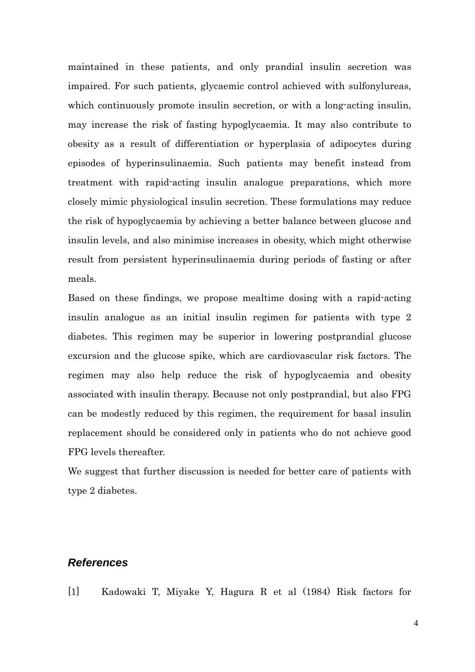maintained in these patients, and only prandial insulin secretion was impaired. For such patients, glycaemic control achieved with sulfonylureas, which continuously promote insulin secretion, or with a long-acting insulin, may increase the risk of fasting hypoglycaemia. It may also contribute to obesity as a result of differentiation or hyperplasia of adipocytes during episodes of hyperinsulinaemia. Such patients may benefit instead from treatment with rapid-acting insulin analogue preparations, which more closely mimic physiological insulin secretion. These formulations may reduce the risk of hypoglycaemia by achieving a better balance between glucose and insulin levels, and also minimise increases in obesity, which might otherwise result from persistent hyperinsulinaemia during periods of fasting or after meals.

Based on these findings, we propose mealtime dosing with a rapid-acting insulin analogue as an initial insulin regimen for patients with type 2 diabetes. This regimen may be superior in lowering postprandial glucose excursion and the glucose spike, which are cardiovascular risk factors. The regimen may also help reduce the risk of hypoglycaemia and obesity associated with insulin therapy. Because not only postprandial, but also FPG can be modestly reduced by this regimen, the requirement for basal insulin replacement should be considered only in patients who do not achieve good FPG levels thereafter.

We suggest that further discussion is needed for better care of patients with type 2 diabetes.

## *References*

[1] Kadowaki T, Miyake Y, Hagura R et al (1984) Risk factors for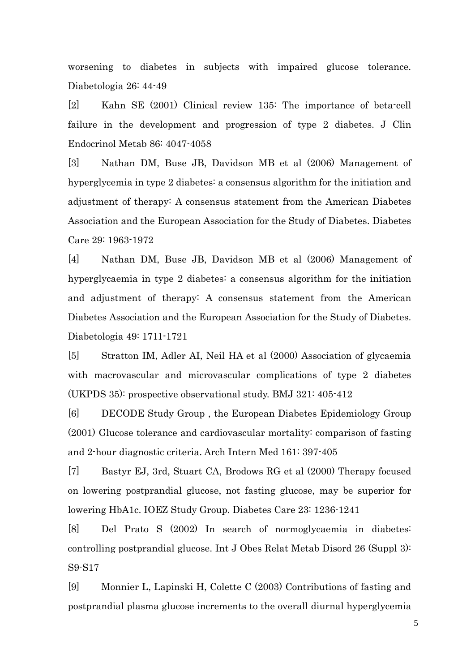worsening to diabetes in subjects with impaired glucose tolerance. Diabetologia 26: 44-49

[2] Kahn SE (2001) Clinical review 135: The importance of beta-cell failure in the development and progression of type 2 diabetes. J Clin Endocrinol Metab 86: 4047-4058

[3] Nathan DM, Buse JB, Davidson MB et al (2006) Management of hyperglycemia in type 2 diabetes: a consensus algorithm for the initiation and adjustment of therapy: A consensus statement from the American Diabetes Association and the European Association for the Study of Diabetes. Diabetes Care 29: 1963-1972

[4] Nathan DM, Buse JB, Davidson MB et al (2006) Management of hyperglycaemia in type 2 diabetes: a consensus algorithm for the initiation and adjustment of therapy: A consensus statement from the American Diabetes Association and the European Association for the Study of Diabetes. Diabetologia 49: 1711-1721

[5] Stratton IM, Adler AI, Neil HA et al (2000) Association of glycaemia with macrovascular and microvascular complications of type 2 diabetes (UKPDS 35): prospective observational study. BMJ 321: 405-412

[6] DECODE Study Group , the European Diabetes Epidemiology Group (2001) Glucose tolerance and cardiovascular mortality: comparison of fasting and 2-hour diagnostic criteria. Arch Intern Med 161: 397-405

[7] Bastyr EJ, 3rd, Stuart CA, Brodows RG et al (2000) Therapy focused on lowering postprandial glucose, not fasting glucose, may be superior for lowering HbA1c. IOEZ Study Group. Diabetes Care 23: 1236-1241

[8] Del Prato S (2002) In search of normoglycaemia in diabetes: controlling postprandial glucose. Int J Obes Relat Metab Disord 26 (Suppl 3): S9-S17

[9] Monnier L, Lapinski H, Colette C (2003) Contributions of fasting and postprandial plasma glucose increments to the overall diurnal hyperglycemia

5